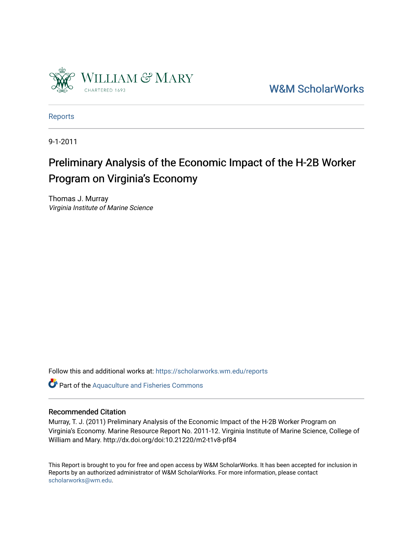

[W&M ScholarWorks](https://scholarworks.wm.edu/) 

[Reports](https://scholarworks.wm.edu/reports)

9-1-2011

## Preliminary Analysis of the Economic Impact of the H-2B Worker Program on Virginia's Economy

Thomas J. Murray Virginia Institute of Marine Science

Follow this and additional works at: [https://scholarworks.wm.edu/reports](https://scholarworks.wm.edu/reports?utm_source=scholarworks.wm.edu%2Freports%2F1446&utm_medium=PDF&utm_campaign=PDFCoverPages)

Part of the [Aquaculture and Fisheries Commons](http://network.bepress.com/hgg/discipline/78?utm_source=scholarworks.wm.edu%2Freports%2F1446&utm_medium=PDF&utm_campaign=PDFCoverPages)

#### Recommended Citation

Murray, T. J. (2011) Preliminary Analysis of the Economic Impact of the H-2B Worker Program on Virginia's Economy. Marine Resource Report No. 2011-12. Virginia Institute of Marine Science, College of William and Mary. http://dx.doi.org/doi:10.21220/m2-t1v8-pf84

This Report is brought to you for free and open access by W&M ScholarWorks. It has been accepted for inclusion in Reports by an authorized administrator of W&M ScholarWorks. For more information, please contact [scholarworks@wm.edu.](mailto:scholarworks@wm.edu)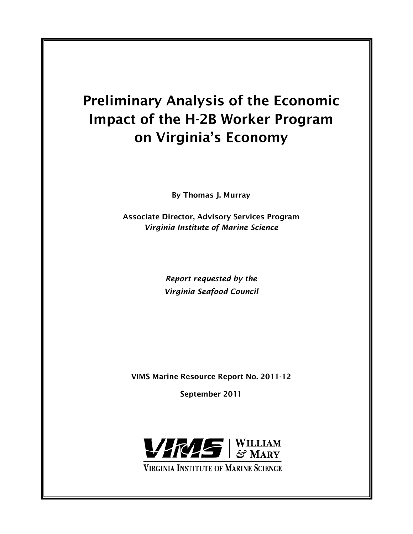# Preliminary Analysis of the Economic Impact of the H-2B Worker Program on Virginia's Economy

By Thomas J. Murray

Associate Director, Advisory Services Program *Virginia Institute of Marine Science*

> *Report requested by the Virginia Seafood Council*

VIMS Marine Resource Report No. 2011-12

September 2011

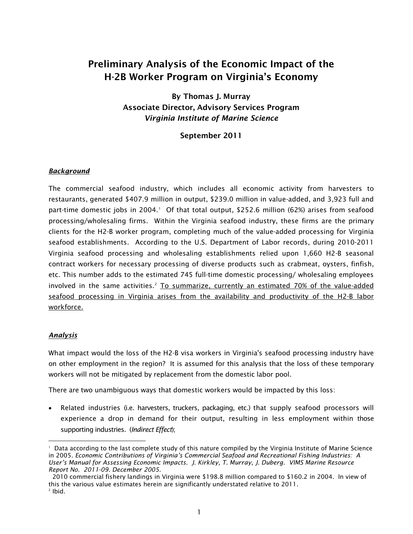### Preliminary Analysis of the Economic Impact of the H-2B Worker Program on Virginia's Economy

By Thomas J. Murray Associate Director, Advisory Services Program *Virginia Institute of Marine Science*

September 2011

#### *Background*

The commercial seafood industry, which includes all economic activity from harvesters to restaurants, generated \$407.9 million in output, \$239.0 million in value-added, and 3,923 full and part-time domestic jobs in 2004. [1](#page-2-0) Of that total output, \$252.6 million (62%) arises from seafood processing/wholesaling firms. Within the Virginia seafood industry, these firms are the primary clients for the H2-B worker program, completing much of the value-added processing for Virginia seafood establishments. According to the U.S. Department of Labor records, during 2010-2011 Virginia seafood processing and wholesaling establishments relied upon 1,660 H2-B seasonal contract workers for necessary processing of diverse products such as crabmeat, oysters, finfish, etc. This number adds to the estimated 745 full-time domestic processing/ wholesaling employees involved in the same activities.<sup>2</sup> To summarize, currently an estimated 70% of the value-added seafood processing in Virginia arises from the availability and productivity of the H2-B labor workforce.

#### *Analysis*

What impact would the loss of the H2-B visa workers in Virginia's seafood processing industry have on other employment in the region? It is assumed for this analysis that the loss of these temporary workers will not be mitigated by replacement from the domestic labor pool.

There are two unambiguous ways that domestic workers would be impacted by this loss:

• Related industries (i.e. harvesters, truckers, packaging, etc.) that supply seafood processors will experience a drop in demand for their output, resulting in less employment within those supporting industries. (*Indirect Effect*);

 $\overline{a}$ 

<span id="page-2-0"></span><sup>1</sup> Data according to the last complete study of this nature compiled by the Virginia Institute of Marine Science in 2005. *Economic Contributions of Virginia's Commercial Seafood and Recreational Fishing Industries: A User's Manual for Assessing Economic Impacts. J. Kirkley, T. Murray, J. Duberg. VIMS Marine Resource Report No. 2011-09. December 2005.* 

2010 commercial fishery landings in Virginia were \$198.8 million compared to \$160.2 in 2004. In view of this the various value estimates herein are significantly understated relative to 2011.<br><sup>2</sup> Ibid.

<span id="page-2-1"></span>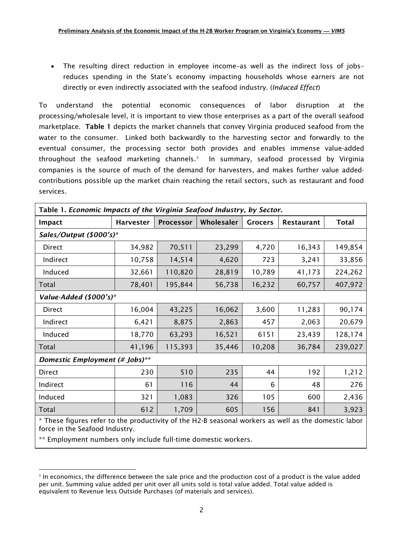• The resulting direct reduction in employee income–as well as the indirect loss of jobs– reduces spending in the State's economy impacting households whose earners are not directly or even indirectly associated with the seafood industry. (*Induced Effect*)

To understand the potential economic consequences of labor disruption at the processing/wholesale level, it is important to view those enterprises as a part of the overall seafood marketplace. Table 1 depicts the market channels that convey Virginia produced seafood from the water to the consumer. Linked both backwardly to the harvesting sector and forwardly to the eventual consumer, the processing sector both provides and enables immense value-added throughout the seafood marketing channels.<sup>[3](#page-3-0)</sup> In summary, seafood processed by Virginia companies is the source of much of the demand for harvesters, and makes further value addedcontributions possible up the market chain reaching the retail sectors, such as restaurant and food services.

| Table 1. Economic Impacts of the Virginia Seafood Industry, by Sector.                               |                  |                  |            |                |            |              |  |  |  |  |
|------------------------------------------------------------------------------------------------------|------------------|------------------|------------|----------------|------------|--------------|--|--|--|--|
| <b>Impact</b>                                                                                        | <b>Harvester</b> | <b>Processor</b> | Wholesaler | <b>Grocers</b> | Restaurant | <b>Total</b> |  |  |  |  |
| Sales/Output (\$000's)*                                                                              |                  |                  |            |                |            |              |  |  |  |  |
| Direct                                                                                               | 34,982           | 70,511           | 23,299     | 4,720          | 16,343     | 149,854      |  |  |  |  |
| Indirect                                                                                             | 10,758           | 14,514           | 4,620      | 723            | 3,241      | 33,856       |  |  |  |  |
| Induced                                                                                              | 32,661           | 110,820          | 28,819     | 10,789         | 41,173     | 224,262      |  |  |  |  |
| Total                                                                                                | 78,401           | 195,844          | 56,738     | 16,232         | 60,757     | 407,972      |  |  |  |  |
| Value-Added (\$000's)*                                                                               |                  |                  |            |                |            |              |  |  |  |  |
| Direct                                                                                               | 16,004           | 43,225           | 16,062     | 3,600          | 11,283     | 90,174       |  |  |  |  |
| Indirect                                                                                             | 6,421            | 8,875            | 2,863      | 457            | 2,063      | 20,679       |  |  |  |  |
| Induced                                                                                              | 18,770           | 63,293           | 16,521     | 6151           | 23,439     | 128,174      |  |  |  |  |
| Total                                                                                                | 41,196           | 115,393          | 35,446     | 10,208         | 36,784     | 239,027      |  |  |  |  |
| Domestic Employment (# Jobs)**                                                                       |                  |                  |            |                |            |              |  |  |  |  |
| Direct                                                                                               | 230              | 510              | 235        | 44             | 192        | 1,212        |  |  |  |  |
| Indirect                                                                                             | 61               | 116              | 44         | 6              | 48         | 276          |  |  |  |  |
| Induced                                                                                              | 321              | 1,083            | 326        | 105            | 600        | 2,436        |  |  |  |  |
| Total                                                                                                | 612              | 1,709            | 605        | 156            | 841        | 3,923        |  |  |  |  |
| * These figures refer to the productivity of the H2-B seasonal workers as well as the domestic labor |                  |                  |            |                |            |              |  |  |  |  |

force in the Seafood Industry.

\*\* Employment numbers only include full-time domestic workers.

 $\overline{a}$ 

<span id="page-3-0"></span><sup>&</sup>lt;sup>3</sup> In [economics,](http://en.wikipedia.org/wiki/Economics) the difference between the sale price and the production cost of a product is the value added per unit. Summing value added per unit over all units sold is total value added. Total value added is equivalent to Revenue less Outside Purchases (of materials and services).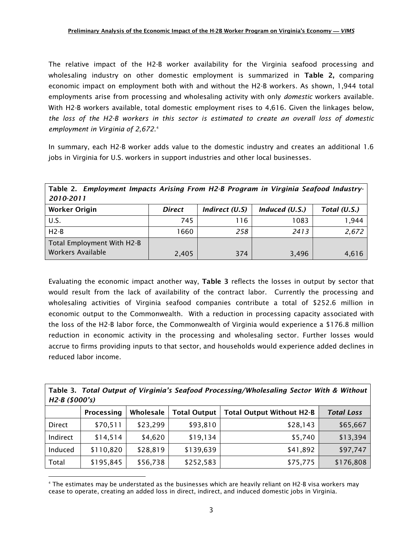The relative impact of the H2-B worker availability for the Virginia seafood processing and wholesaling industry on other domestic employment is summarized in Table 2, comparing economic impact on employment both with and without the H2-B workers. As shown, 1,944 total employments arise from processing and wholesaling activity with only *domestic* workers available. With H2-B workers available, total domestic employment rises to 4,616. Given the linkages below, *the loss of the H2-B workers in this sector is estimated to create an overall loss of domestic employment in Virginia of 2,672.*[4](#page-4-0)

In summary, each H2-B worker adds value to the domestic industry and creates an additional 1.6 jobs in Virginia for U.S. workers in support industries and other local businesses.

Table 2. *Employment Impacts Arising From H2-B Program in Virginia Seafood Industry-2010-2011*

| <b>Worker Origin</b>       | <b>Direct</b> | Indirect (U.S) | Induced $(U.S.)$ | Total (U.S.) |
|----------------------------|---------------|----------------|------------------|--------------|
| U.S.                       | 745           | 116            | 1083             | 1,944        |
| $H2-B$                     | 1660          | 258            | 2413             | 2,672        |
| Total Employment With H2-B |               |                |                  |              |
| Workers Available          | 2,405         | 374            | 3,496            | 4,616        |

Evaluating the economic impact another way, Table 3 reflects the losses in output by sector that would result from the lack of availability of the contract labor. Currently the processing and wholesaling activities of Virginia seafood companies contribute a total of \$252.6 million in economic output to the Commonwealth. With a reduction in processing capacity associated with the loss of the H2-B labor force, the Commonwealth of Virginia would experience a \$176.8 million reduction in economic activity in the processing and wholesaling sector. Further losses would accrue to firms providing inputs to that sector, and households would experience added declines in reduced labor income.

|                |  |  |  | Table 3. Total Output of Virginia's Seafood Processing/Wholesaling Sector With & Without |  |  |
|----------------|--|--|--|------------------------------------------------------------------------------------------|--|--|
| H2-B (\$000's) |  |  |  |                                                                                          |  |  |

|          | Processing | Wholesale | <b>Total Output</b> | <b>Total Output Without H2-B</b> | <b>Total Loss</b> |
|----------|------------|-----------|---------------------|----------------------------------|-------------------|
| Direct   | \$70,511   | \$23,299  | \$93,810            | \$28,143                         | \$65,667          |
| Indirect | \$14,514   | \$4,620   | \$19,134            | \$5,740                          | \$13,394          |
| Induced  | \$110,820  | \$28,819  | \$139,639           | \$41,892                         | \$97,747          |
| Total    | \$195,845  | \$56,738  | \$252,583           | \$75,775                         | \$176,808         |

<span id="page-4-0"></span> $\overline{a}$ <sup>4</sup> The estimates may be understated as the businesses which are heavily reliant on H2-B visa workers may cease to operate, creating an added loss in direct, indirect, and induced domestic jobs in Virginia.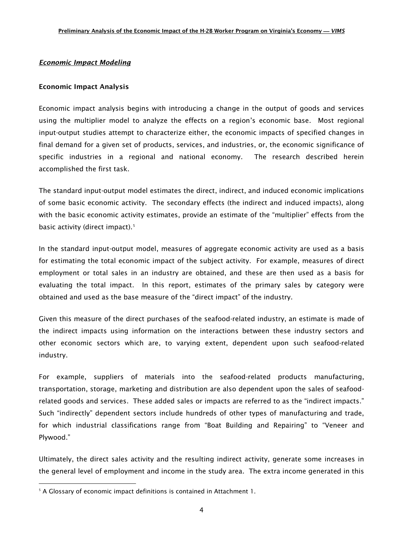#### *Economic Impact Modeling*

#### Economic Impact Analysis

Economic impact analysis begins with introducing a change in the output of goods and services using the multiplier model to analyze the effects on a region's economic base. Most regional input-output studies attempt to characterize either, the economic impacts of specified changes in final demand for a given set of products, services, and industries, or, the economic significance of specific industries in a regional and national economy. The research described herein accomplished the first task.

The standard input-output model estimates the direct, indirect, and induced economic implications of some basic economic activity. The secondary effects (the indirect and induced impacts), along with the basic economic activity estimates, provide an estimate of the "multiplier" effects from the basic activity (direct impact).<sup>[5](#page-5-0)</sup>

In the standard input-output model, measures of aggregate economic activity are used as a basis for estimating the total economic impact of the subject activity. For example, measures of direct employment or total sales in an industry are obtained, and these are then used as a basis for evaluating the total impact. In this report, estimates of the primary sales by category were obtained and used as the base measure of the "direct impact" of the industry.

Given this measure of the direct purchases of the seafood-related industry, an estimate is made of the indirect impacts using information on the interactions between these industry sectors and other economic sectors which are, to varying extent, dependent upon such seafood-related industry.

For example, suppliers of materials into the seafood-related products manufacturing, transportation, storage, marketing and distribution are also dependent upon the sales of seafoodrelated goods and services. These added sales or impacts are referred to as the "indirect impacts." Such "indirectly" dependent sectors include hundreds of other types of manufacturing and trade, for which industrial classifications range from "Boat Building and Repairing" to "Veneer and Plywood."

Ultimately, the direct sales activity and the resulting indirect activity, generate some increases in the general level of employment and income in the study area. The extra income generated in this

 $\overline{a}$ 

<span id="page-5-0"></span><sup>&</sup>lt;sup>5</sup> A Glossary of economic impact definitions is contained in Attachment 1.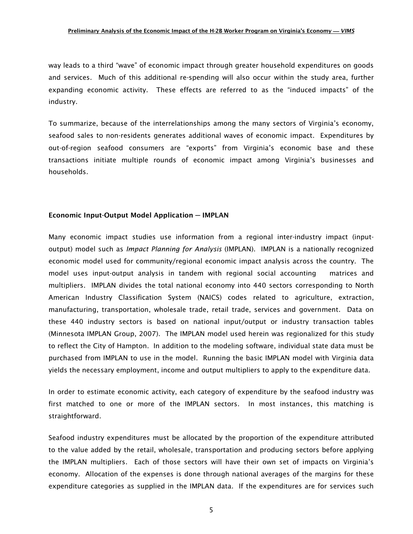way leads to a third "wave" of economic impact through greater household expenditures on goods and services. Much of this additional re-spending will also occur within the study area, further expanding economic activity. These effects are referred to as the "induced impacts" of the industry.

To summarize, because of the interrelationships among the many sectors of Virginia's economy, seafood sales to non-residents generates additional waves of economic impact. Expenditures by out-of-region seafood consumers are "exports" from Virginia's economic base and these transactions initiate multiple rounds of economic impact among Virginia's businesses and households.

#### Economic Input-Output Model Application **─** IMPLAN

Many economic impact studies use information from a regional inter-industry impact (inputoutput) model such as *Impact Planning for Analysis* (IMPLAN). IMPLAN is a nationally recognized economic model used for community/regional economic impact analysis across the country. The model uses input-output analysis in tandem with regional social accounting matrices and multipliers. IMPLAN divides the total national economy into 440 sectors corresponding to North American Industry Classification System (NAICS) codes related to agriculture, extraction, manufacturing, transportation, wholesale trade, retail trade, services and government. Data on these 440 industry sectors is based on national input/output or industry transaction tables (Minnesota IMPLAN Group, 2007). The IMPLAN model used herein was regionalized for this study to reflect the City of Hampton. In addition to the modeling software, individual state data must be purchased from IMPLAN to use in the model. Running the basic IMPLAN model with Virginia data yields the necessary employment, income and output multipliers to apply to the expenditure data.

In order to estimate economic activity, each category of expenditure by the seafood industry was first matched to one or more of the IMPLAN sectors. In most instances, this matching is straightforward.

Seafood industry expenditures must be allocated by the proportion of the expenditure attributed to the value added by the retail, wholesale, transportation and producing sectors before applying the IMPLAN multipliers. Each of those sectors will have their own set of impacts on Virginia's economy. Allocation of the expenses is done through national averages of the margins for these expenditure categories as supplied in the IMPLAN data. If the expenditures are for services such

5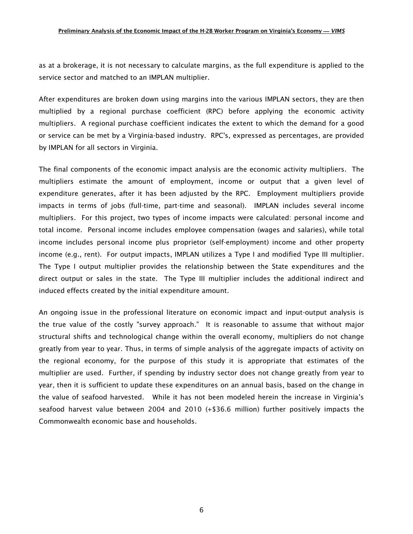as at a brokerage, it is not necessary to calculate margins, as the full expenditure is applied to the service sector and matched to an IMPLAN multiplier.

After expenditures are broken down using margins into the various IMPLAN sectors, they are then multiplied by a regional purchase coefficient (RPC) before applying the economic activity multipliers. A regional purchase coefficient indicates the extent to which the demand for a good or service can be met by a Virginia-based industry. RPC's, expressed as percentages, are provided by IMPLAN for all sectors in Virginia.

The final components of the economic impact analysis are the economic activity multipliers. The multipliers estimate the amount of employment, income or output that a given level of expenditure generates, after it has been adjusted by the RPC. Employment multipliers provide impacts in terms of jobs (full-time, part-time and seasonal). IMPLAN includes several income multipliers. For this project, two types of income impacts were calculated: personal income and total income. Personal income includes employee compensation (wages and salaries), while total income includes personal income plus proprietor (self-employment) income and other property income (e.g., rent). For output impacts, IMPLAN utilizes a Type I and modified Type III multiplier. The Type I output multiplier provides the relationship between the State expenditures and the direct output or sales in the state. The Type III multiplier includes the additional indirect and induced effects created by the initial expenditure amount.

An ongoing issue in the professional literature on economic impact and input-output analysis is the true value of the costly "survey approach." It is reasonable to assume that without major structural shifts and technological change within the overall economy, multipliers do not change greatly from year to year. Thus, in terms of simple analysis of the aggregate impacts of activity on the regional economy, for the purpose of this study it is appropriate that estimates of the multiplier are used. Further, if spending by industry sector does not change greatly from year to year, then it is sufficient to update these expenditures on an annual basis, based on the change in the value of seafood harvested. While it has not been modeled herein the increase in Virginia's seafood harvest value between 2004 and 2010 (+\$36.6 million) further positively impacts the Commonwealth economic base and households.